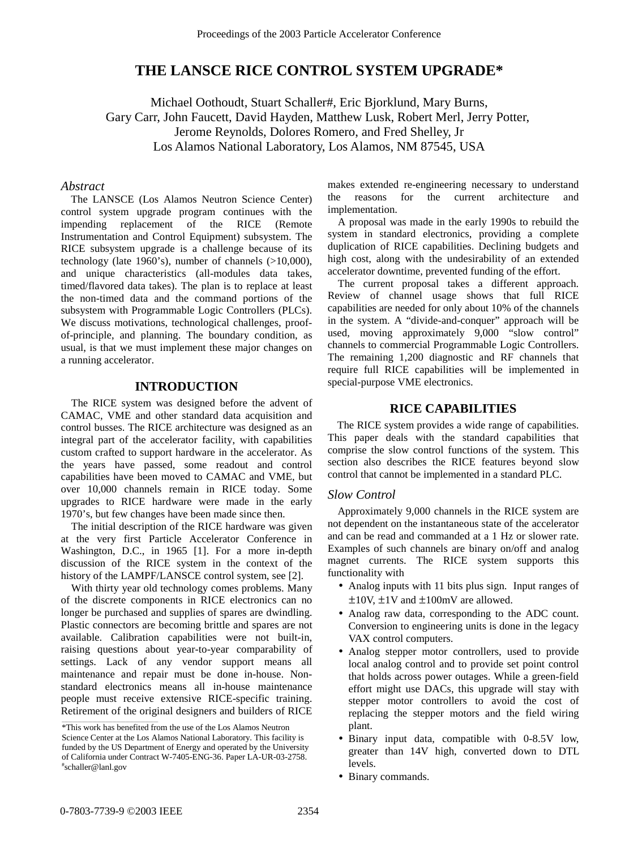# **THE LANSCE RICE CONTROL SYSTEM UPGRADE\***

Michael Oothoudt, Stuart Schaller#, Eric Bjorklund, Mary Burns, Gary Carr, John Faucett, David Hayden, Matthew Lusk, Robert Merl, Jerry Potter, Jerome Reynolds, Dolores Romero, and Fred Shelley, Jr Los Alamos National Laboratory, Los Alamos, NM 87545, USA

#### *Abstract*

The LANSCE (Los Alamos Neutron Science Center) control system upgrade program continues with the impending replacement of the RICE (Remote Instrumentation and Control Equipment) subsystem. The RICE subsystem upgrade is a challenge because of its technology (late 1960's), number of channels (>10,000), and unique characteristics (all-modules data takes, timed/flavored data takes). The plan is to replace at least the non-timed data and the command portions of the subsystem with Programmable Logic Controllers (PLCs). We discuss motivations, technological challenges, proofof-principle, and planning. The boundary condition, as usual, is that we must implement these major changes on a running accelerator.

### **INTRODUCTION**

The RICE system was designed before the advent of CAMAC, VME and other standard data acquisition and control busses. The RICE architecture was designed as an integral part of the accelerator facility, with capabilities custom crafted to support hardware in the accelerator. As the years have passed, some readout and control capabilities have been moved to CAMAC and VME, but over 10,000 channels remain in RICE today. Some upgrades to RICE hardware were made in the early 1970's, but few changes have been made since then.

The initial description of the RICE hardware was given at the very first Particle Accelerator Conference in Washington, D.C., in 1965 [1]. For a more in-depth discussion of the RICE system in the context of the history of the LAMPF/LANSCE control system, see [2].

With thirty year old technology comes problems. Many of the discrete components in RICE electronics can no longer be purchased and supplies of spares are dwindling. Plastic connectors are becoming brittle and spares are not available. Calibration capabilities were not built-in, raising questions about year-to-year comparability of settings. Lack of any vendor support means all maintenance and repair must be done in-house. Nonstandard electronics means all in-house maintenance people must receive extensive RICE-specific training. Retirement of the original designers and builders of RICE makes extended re-engineering necessary to understand the reasons for the current architecture and implementation.

A proposal was made in the early 1990s to rebuild the system in standard electronics, providing a complete duplication of RICE capabilities. Declining budgets and high cost, along with the undesirability of an extended accelerator downtime, prevented funding of the effort.

The current proposal takes a different approach. Review of channel usage shows that full RICE capabilities are needed for only about 10% of the channels in the system. A "divide-and-conquer" approach will be used, moving approximately 9,000 "slow control" channels to commercial Programmable Logic Controllers. The remaining 1,200 diagnostic and RF channels that require full RICE capabilities will be implemented in special-purpose VME electronics.

### **RICE CAPABILITIES**

The RICE system provides a wide range of capabilities. This paper deals with the standard capabilities that comprise the slow control functions of the system. This section also describes the RICE features beyond slow control that cannot be implemented in a standard PLC.

#### *Slow Control*

Approximately 9,000 channels in the RICE system are not dependent on the instantaneous state of the accelerator and can be read and commanded at a 1 Hz or slower rate. Examples of such channels are binary on/off and analog magnet currents. The RICE system supports this functionality with

- Analog inputs with 11 bits plus sign. Input ranges of  $\pm 10V$ ,  $\pm 1V$  and  $\pm 100$ mV are allowed.
- Analog raw data, corresponding to the ADC count. Conversion to engineering units is done in the legacy VAX control computers.
- Analog stepper motor controllers, used to provide local analog control and to provide set point control that holds across power outages. While a green-field effort might use DACs, this upgrade will stay with stepper motor controllers to avoid the cost of replacing the stepper motors and the field wiring plant.
- Binary input data, compatible with 0-8.5V low, greater than 14V high, converted down to DTL levels.
- Binary commands.

\_\_\_\_\_\_\_\_\_\_\_\_\_\_\_\_\_\_\_\_\_\_\_\_\_\_\_\_\_\_\_\_\_\_\_\_\_\_\_\_\_\_\_\_

<sup>\*</sup>This work has benefited from the use of the Los Alamos Neutron Science Center at the Los Alamos National Laboratory. This facility is funded by the US Department of Energy and operated by the University of California under Contract W-7405-ENG-36. Paper LA-UR-03-2758. # schaller@lanl.gov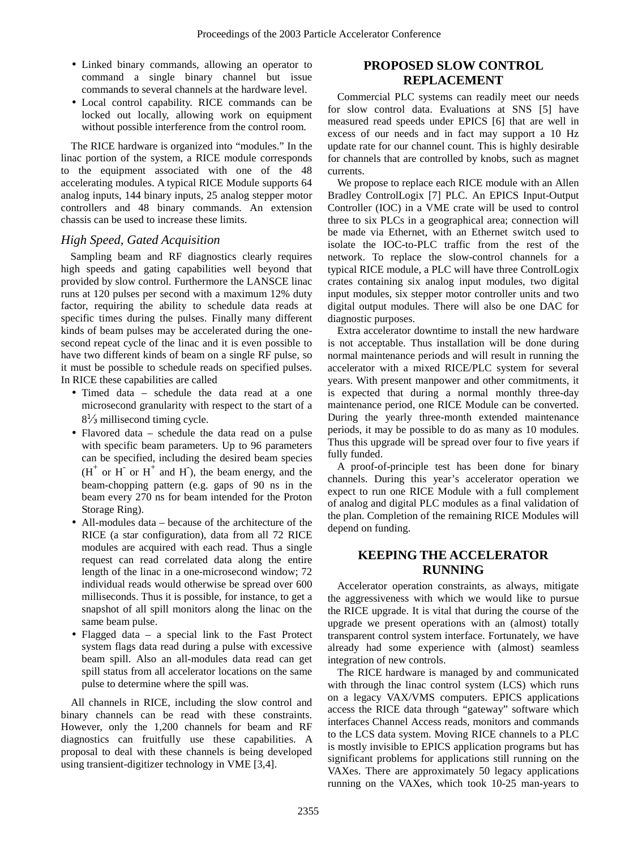- Linked binary commands, allowing an operator to command a single binary channel but issue commands to several channels at the hardware level.
- Local control capability. RICE commands can be locked out locally, allowing work on equipment without possible interference from the control room.

The RICE hardware is organized into "modules." In the linac portion of the system, a RICE module corresponds to the equipment associated with one of the 48 accelerating modules. A typical RICE Module supports 64 analog inputs, 144 binary inputs, 25 analog stepper motor controllers and 48 binary commands. An extension chassis can be used to increase these limits.

## *High Speed, Gated Acquisition*

Sampling beam and RF diagnostics clearly requires high speeds and gating capabilities well beyond that provided by slow control. Furthermore the LANSCE linac runs at 120 pulses per second with a maximum 12% duty factor, requiring the ability to schedule data reads at specific times during the pulses. Finally many different kinds of beam pulses may be accelerated during the onesecond repeat cycle of the linac and it is even possible to have two different kinds of beam on a single RF pulse, so it must be possible to schedule reads on specified pulses. In RICE these capabilities are called

- Timed data schedule the data read at a one microsecond granularity with respect to the start of a  $8\frac{1}{3}$  millisecond timing cycle.
- Flavored data schedule the data read on a pulse with specific beam parameters. Up to 96 parameters can be specified, including the desired beam species  $(H<sup>+</sup>$  or  $H<sup>+</sup>$  and  $H$ ), the beam energy, and the beam-chopping pattern (e.g. gaps of 90 ns in the beam every 270 ns for beam intended for the Proton Storage Ring).
- All-modules data because of the architecture of the RICE (a star configuration), data from all 72 RICE modules are acquired with each read. Thus a single request can read correlated data along the entire length of the linac in a one-microsecond window; 72 individual reads would otherwise be spread over 600 milliseconds. Thus it is possible, for instance, to get a snapshot of all spill monitors along the linac on the same beam pulse.
- Flagged data a special link to the Fast Protect system flags data read during a pulse with excessive beam spill. Also an all-modules data read can get spill status from all accelerator locations on the same pulse to determine where the spill was.

All channels in RICE, including the slow control and binary channels can be read with these constraints. However, only the 1,200 channels for beam and RF diagnostics can fruitfully use these capabilities. A proposal to deal with these channels is being developed using transient-digitizer technology in VME [3,4].

## **PROPOSED SLOW CONTROL REPLACEMENT**

Commercial PLC systems can readily meet our needs for slow control data. Evaluations at SNS [5] have measured read speeds under EPICS [6] that are well in excess of our needs and in fact may support a 10 Hz update rate for our channel count. This is highly desirable for channels that are controlled by knobs, such as magnet currents.

We propose to replace each RICE module with an Allen Bradley ControlLogix [7] PLC. An EPICS Input-Output Controller (IOC) in a VME crate will be used to control three to six PLCs in a geographical area; connection will be made via Ethernet, with an Ethernet switch used to isolate the IOC-to-PLC traffic from the rest of the network. To replace the slow-control channels for a typical RICE module, a PLC will have three ControlLogix crates containing six analog input modules, two digital input modules, six stepper motor controller units and two digital output modules. There will also be one DAC for diagnostic purposes.

Extra accelerator downtime to install the new hardware is not acceptable. Thus installation will be done during normal maintenance periods and will result in running the accelerator with a mixed RICE/PLC system for several years. With present manpower and other commitments, it is expected that during a normal monthly three-day maintenance period, one RICE Module can be converted. During the yearly three-month extended maintenance periods, it may be possible to do as many as 10 modules. Thus this upgrade will be spread over four to five years if fully funded.

A proof-of-principle test has been done for binary channels. During this year's accelerator operation we expect to run one RICE Module with a full complement of analog and digital PLC modules as a final validation of the plan. Completion of the remaining RICE Modules will depend on funding.

## **KEEPING THE ACCELERATOR RUNNING**

Accelerator operation constraints, as always, mitigate the aggressiveness with which we would like to pursue the RICE upgrade. It is vital that during the course of the upgrade we present operations with an (almost) totally transparent control system interface. Fortunately, we have already had some experience with (almost) seamless integration of new controls.

The RICE hardware is managed by and communicated with through the linac control system (LCS) which runs on a legacy VAX/VMS computers. EPICS applications access the RICE data through "gateway" software which interfaces Channel Access reads, monitors and commands to the LCS data system. Moving RICE channels to a PLC is mostly invisible to EPICS application programs but has significant problems for applications still running on the VAXes. There are approximately 50 legacy applications running on the VAXes, which took 10-25 man-years to